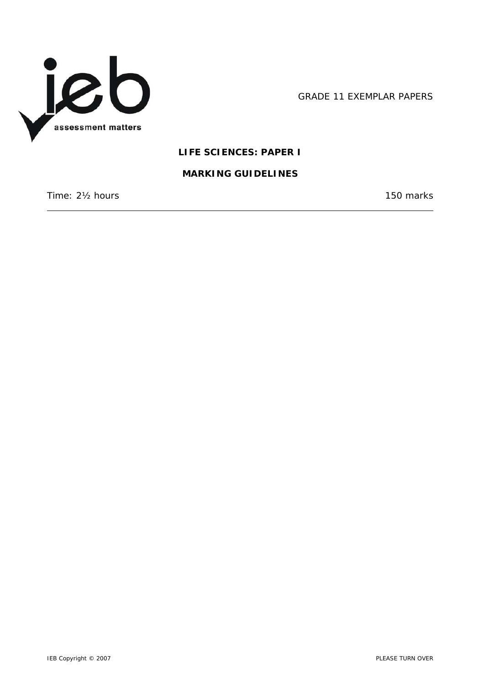

GRADE 11 EXEMPLAR PAPERS

## **LIFE SCIENCES: PAPER I**

#### **MARKING GUIDELINES**

Time: 2<sup>1</sup>/<sub>2</sub> hours 150 marks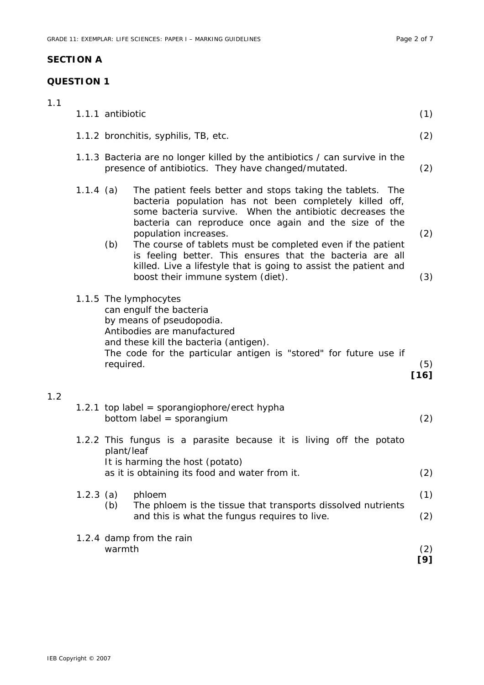# **SECTION A**

## **QUESTION 1**

| 1.1 |             | 1.1.1 antibiotic                                                                                                                                                                                                                                                                                                                                                                                                                                                                                                | (1)           |  |
|-----|-------------|-----------------------------------------------------------------------------------------------------------------------------------------------------------------------------------------------------------------------------------------------------------------------------------------------------------------------------------------------------------------------------------------------------------------------------------------------------------------------------------------------------------------|---------------|--|
|     |             | 1.1.2 bronchitis, syphilis, TB, etc.                                                                                                                                                                                                                                                                                                                                                                                                                                                                            |               |  |
|     |             | 1.1.3 Bacteria are no longer killed by the antibiotics / can survive in the<br>presence of antibiotics. They have changed/mutated.                                                                                                                                                                                                                                                                                                                                                                              | (2)           |  |
|     | 1.1.4 (a)   | The patient feels better and stops taking the tablets. The<br>bacteria population has not been completely killed off,<br>some bacteria survive. When the antibiotic decreases the<br>bacteria can reproduce once again and the size of the<br>population increases.<br>(b)<br>The course of tablets must be completed even if the patient<br>is feeling better. This ensures that the bacteria are all<br>killed. Live a lifestyle that is going to assist the patient and<br>boost their immune system (diet). | (2)<br>(3)    |  |
|     |             | 1.1.5 The lymphocytes<br>can engulf the bacteria<br>by means of pseudopodia.<br>Antibodies are manufactured<br>and these kill the bacteria (antigen).<br>The code for the particular antigen is "stored" for future use if<br>required.                                                                                                                                                                                                                                                                         | (5)<br>$[16]$ |  |
| 1.2 |             | 1.2.1 top label = sporangiophore/erect hypha<br>bottom label = sporangium                                                                                                                                                                                                                                                                                                                                                                                                                                       | (2)           |  |
|     |             | 1.2.2 This fungus is a parasite because it is living off the potato<br>plant/leaf<br>It is harming the host (potato)<br>as it is obtaining its food and water from it.                                                                                                                                                                                                                                                                                                                                          | (2)           |  |
|     | $1.2.3$ (a) | phloem<br>The phloem is the tissue that transports dissolved nutrients<br>(b)<br>and this is what the fungus requires to live.                                                                                                                                                                                                                                                                                                                                                                                  | (1)<br>(2)    |  |
|     |             | 1.2.4 damp from the rain<br>warmth                                                                                                                                                                                                                                                                                                                                                                                                                                                                              | (2)<br>[9]    |  |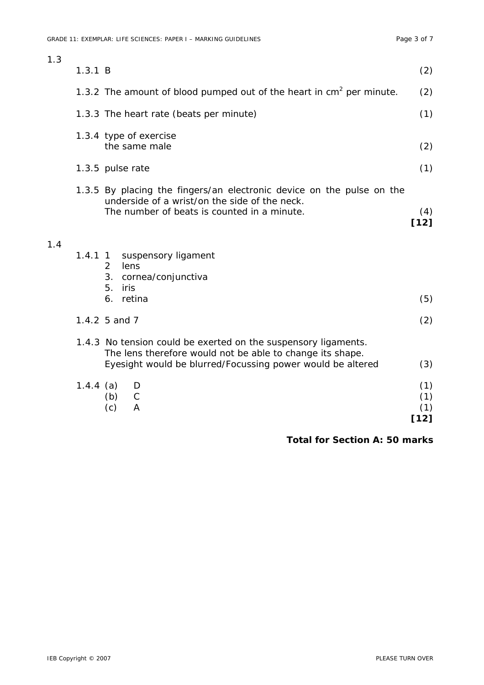|     | $1.4.4$ (a) | Eyesight would be blurred/Focussing power would be altered<br>D<br>$\mathsf C$<br>(b)<br>(c)<br>A                                                                     | (3)<br>(1)<br>(1)<br>(1) |
|-----|-------------|-----------------------------------------------------------------------------------------------------------------------------------------------------------------------|--------------------------|
|     |             | 1.4.3 No tension could be exerted on the suspensory ligaments.<br>The lens therefore would not be able to change its shape.                                           |                          |
|     |             | 1.4.2 5 and 7                                                                                                                                                         | (2)                      |
| 1.4 | $1.4.1$ 1   | suspensory ligament<br>2<br>lens<br>3.<br>cornea/conjunctiva<br>5.<br>iris<br>6. retina                                                                               | (5)                      |
|     |             | 1.3.5 By placing the fingers/an electronic device on the pulse on the<br>underside of a wrist/on the side of the neck.<br>The number of beats is counted in a minute. | (4)<br>$[12]$            |
|     |             | 1.3.5 pulse rate                                                                                                                                                      | (1)                      |
|     |             | 1.3.4 type of exercise<br>the same male                                                                                                                               | (2)                      |
|     |             | 1.3.3 The heart rate (beats per minute)                                                                                                                               | (1)                      |
|     |             | 1.3.2 The amount of blood pumped out of the heart in $cm2$ per minute.                                                                                                | (2)                      |
| 1.3 | 1.3.1 B     |                                                                                                                                                                       | (2)                      |

 **Total for Section A: 50 marks**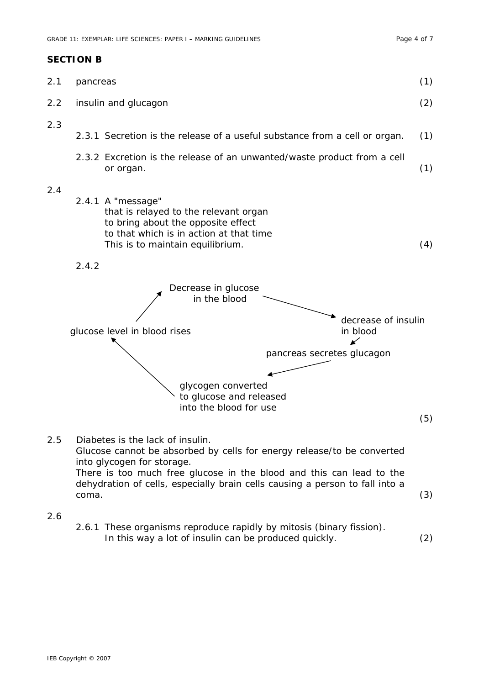#### **SECTION B**

| 2.1 | pancreas                                                                                                                                                                                                                                                                                                  | (1) |
|-----|-----------------------------------------------------------------------------------------------------------------------------------------------------------------------------------------------------------------------------------------------------------------------------------------------------------|-----|
| 2.2 | insulin and glucagon                                                                                                                                                                                                                                                                                      | (2) |
| 2.3 | 2.3.1 Secretion is the release of a useful substance from a cell or organ.                                                                                                                                                                                                                                | (1) |
|     | 2.3.2 Excretion is the release of an unwanted/waste product from a cell<br>or organ.                                                                                                                                                                                                                      | (1) |
| 2.4 | 2.4.1 A "message"<br>that is relayed to the relevant organ<br>to bring about the opposite effect<br>to that which is in action at that time<br>This is to maintain equilibrium.                                                                                                                           | (4) |
|     | 2.4.2                                                                                                                                                                                                                                                                                                     |     |
|     | Decrease in glucose<br>in the blood                                                                                                                                                                                                                                                                       |     |
|     | decrease of insulin<br>glucose level in blood rises<br>in blood<br>↙                                                                                                                                                                                                                                      |     |
|     | pancreas secretes glucagon                                                                                                                                                                                                                                                                                |     |
|     | glycogen converted<br>to glucose and released<br>into the blood for use                                                                                                                                                                                                                                   | (5) |
| 2.5 | Diabetes is the lack of insulin.<br>Glucose cannot be absorbed by cells for energy release/to be converted<br>into glycogen for storage.<br>There is too much free glucose in the blood and this can lead to the<br>dehydration of cells, especially brain cells causing a person to fall into a<br>coma. | (3) |
| 2.6 |                                                                                                                                                                                                                                                                                                           |     |

 2.6.1 These organisms reproduce rapidly by mitosis (binary fission). In this way a lot of insulin can be produced quickly. (2)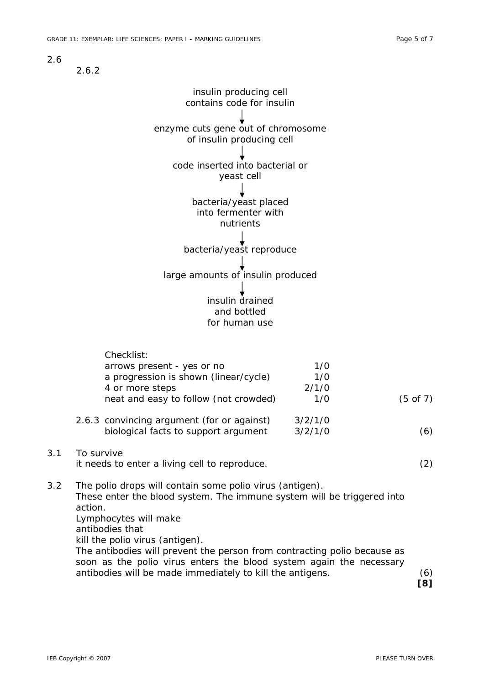2.6

2.6.2



**[8]**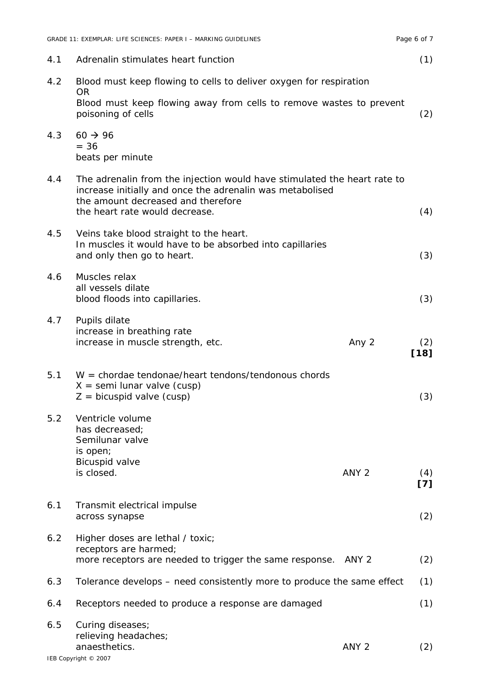|     | GRADE 11: EXEMPLAR: LIFE SCIENCES: PAPER I - MARKING GUIDELINES                                                                                                                                               |                  | Page 6 of 7   |
|-----|---------------------------------------------------------------------------------------------------------------------------------------------------------------------------------------------------------------|------------------|---------------|
| 4.1 | Adrenalin stimulates heart function                                                                                                                                                                           |                  | (1)           |
| 4.2 | Blood must keep flowing to cells to deliver oxygen for respiration<br><b>OR</b><br>Blood must keep flowing away from cells to remove wastes to prevent<br>poisoning of cells                                  |                  | (2)           |
| 4.3 | $60 \rightarrow 96$<br>$= 36$<br>beats per minute                                                                                                                                                             |                  |               |
| 4.4 | The adrenalin from the injection would have stimulated the heart rate to<br>increase initially and once the adrenalin was metabolised<br>the amount decreased and therefore<br>the heart rate would decrease. |                  | (4)           |
| 4.5 | Veins take blood straight to the heart.<br>In muscles it would have to be absorbed into capillaries<br>and only then go to heart.                                                                             |                  | (3)           |
| 4.6 | Muscles relax<br>all vessels dilate<br>blood floods into capillaries.                                                                                                                                         |                  | (3)           |
| 4.7 | Pupils dilate<br>increase in breathing rate<br>increase in muscle strength, etc.                                                                                                                              | Any 2            | (2)<br>$[18]$ |
| 5.1 | $W =$ chordae tendonae/heart tendons/tendonous chords<br>$X =$ semi lunar valve (cusp)<br>$Z =$ bicuspid valve (cusp)                                                                                         |                  | (3)           |
| 5.2 | Ventricle volume<br>has decreased;<br>Semilunar valve<br>is open;                                                                                                                                             |                  |               |
|     | Bicuspid valve<br>is closed.                                                                                                                                                                                  | ANY <sub>2</sub> | (4)<br>[7]    |
| 6.1 | Transmit electrical impulse<br>across synapse                                                                                                                                                                 |                  | (2)           |
| 6.2 | Higher doses are lethal / toxic;<br>receptors are harmed;<br>more receptors are needed to trigger the same response. ANY 2                                                                                    |                  | (2)           |
| 6.3 | Tolerance develops – need consistently more to produce the same effect                                                                                                                                        |                  | (1)           |
| 6.4 | Receptors needed to produce a response are damaged                                                                                                                                                            |                  | (1)           |
| 6.5 | Curing diseases;<br>relieving headaches;<br>anaesthetics.                                                                                                                                                     | ANY <sub>2</sub> | (2)           |